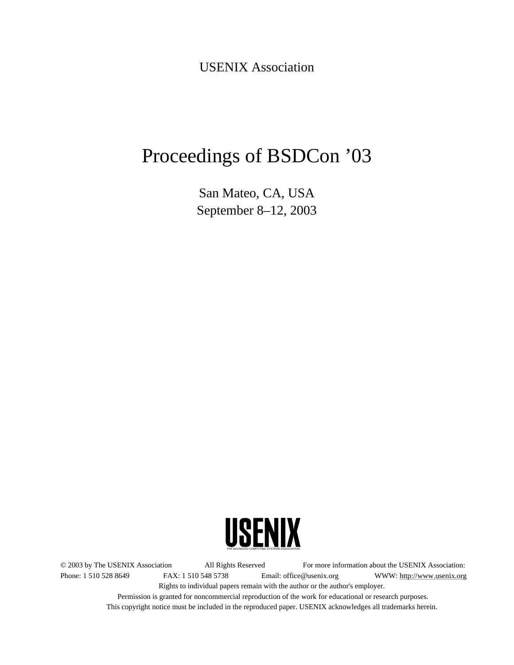USENIX Association

# Proceedings of BSDCon '03

San Mateo, CA, USA September 8–12, 2003



© 2003 by The USENIX Association All Rights Reserved For more information about the USENIX Association: Phone: 1 510 528 8649 FAX: 1 510 548 5738 Email: office@usenix.org WWW: http://www.usenix.org Rights to individual papers remain with the author or the author's employer. Permission is granted for noncommercial reproduction of the work for educational or research purposes.

This copyright notice must be included in the reproduced paper. USENIX acknowledges all trademarks herein.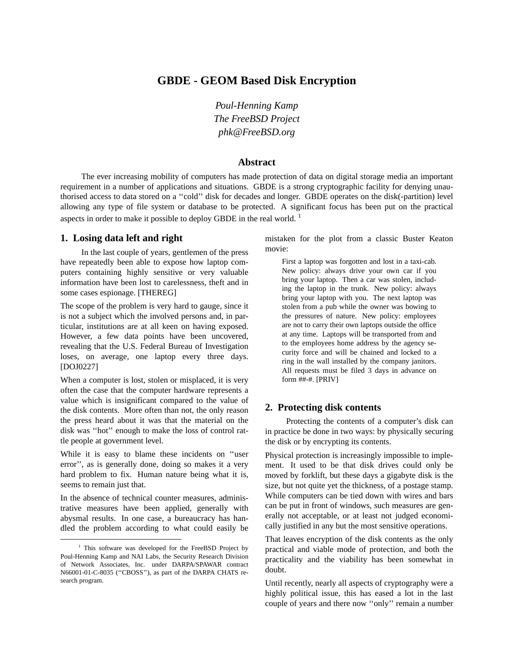# **GBDE - GEOM Based Disk Encryption**

*Poul-Henning Kamp The FreeBSD Project phk@FreeBSD.org*

#### **Abstract**

The ever increasing mobility of computers has made protection of data on digital storage media an important requirement in a number of applications and situations. GBDE is a strong cryptographic facility for denying unauthorised access to data stored on a ''cold'' disk for decades and longer. GBDE operates on the disk(-partition) level allowing any type of file system or database to be protected. A significant focus has been put on the practical aspects in order to make it possible to deploy GBDE in the real world.  $1$ 

# **1. Losing data left and right**

In the last couple of years, gentlemen of the press have repeatedly been able to expose how laptop computers containing highly sensitive or very valuable information have been lost to carelessness, theft and in some cases espionage. [THEREG]

The scope of the problem is very hard to gauge, since it is not a subject which the involved persons and, in particular, institutions are at all keen on having exposed. However, a few data points have been uncovered, revealing that the U.S. Federal Bureau of Investigation loses, on average, one laptop every three days. [DOJ0227]

When a computer is lost, stolen or misplaced, it is very often the case that the computer hardware represents a value which is insignificant compared to the value of the disk contents. More often than not, the only reason the press heard about it was that the material on the disk was ''hot'' enough to make the loss of control rattle people at government level.

While it is easy to blame these incidents on ''user error'', as is generally done, doing so makes it a very hard problem to fix. Human nature being what it is, seems to remain just that.

In the absence of technical counter measures, administrative measures have been applied, generally with abysmal results. In one case, a bureaucracy has handled the problem according to what could easily be mistaken for the plot from a classic Buster Keaton movie:

First a laptop was forgotten and lost in a taxi-cab. New policy: always drive your own car if you bring your laptop. Then a car was stolen, including the laptop in the trunk. New policy: always bring your laptop with you. The next laptop was stolen from a pub while the owner was bowing to the pressures of nature. New policy: employees are not to carry their own laptops outside the office at any time. Laptops will be transported from and to the employees home address by the agency security force and will be chained and locked to a ring in the wall installed by the company janitors. All requests must be filed 3 days in advance on form ##-#. [PRIV]

## **2. Protecting disk contents**

Protecting the contents of a computer's disk can in practice be done in two ways: by physically securing the disk or by encrypting its contents.

Physical protection is increasingly impossible to implement. It used to be that disk drives could only be moved by forklift, but these days a gigabyte disk is the size, but not quite yet the thickness, of a postage stamp. While computers can be tied down with wires and bars can be put in front of windows, such measures are generally not acceptable, or at least not judged economically justified in any but the most sensitive operations.

That leaves encryption of the disk contents as the only practical and viable mode of protection, and both the practicality and the viability has been somewhat in doubt.

Until recently, nearly all aspects of cryptography were a highly political issue, this has eased a lot in the last couple of years and there now ''only'' remain a number

<sup>&</sup>lt;sup>1</sup> This software was developed for the FreeBSD Project by Poul-Henning Kamp and NAI Labs, the Security Research Division of Network Associates, Inc. under DARPA/SPAWAR contract N66001-01-C-8035 (''CBOSS''), as part of the DARPA CHATS research program.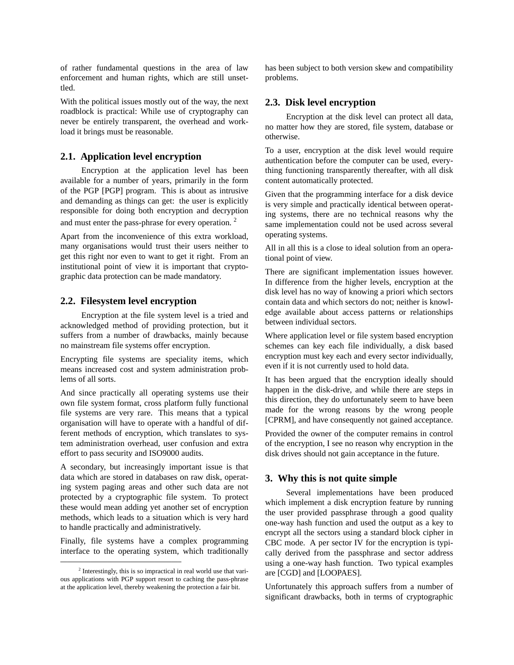of rather fundamental questions in the area of law enforcement and human rights, which are still unsettled.

With the political issues mostly out of the way, the next roadblock is practical: While use of cryptography can never be entirely transparent, the overhead and workload it brings must be reasonable.

# **2.1. Application level encryption**

Encryption at the application level has been available for a number of years, primarily in the form of the PGP [PGP] program. This is about as intrusive and demanding as things can get: the user is explicitly responsible for doing both encryption and decryption and must enter the pass-phrase for every operation. <sup>2</sup>

Apart from the inconvenience of this extra workload, many organisations would trust their users neither to get this right nor even to want to get it right. From an institutional point of view it is important that cryptographic data protection can be made mandatory.

#### **2.2. Filesystem level encryption**

Encryption at the file system level is a tried and acknowledged method of providing protection, but it suffers from a number of drawbacks, mainly because no mainstream file systems offer encryption.

Encrypting file systems are speciality items, which means increased cost and system administration problems of all sorts.

And since practically all operating systems use their own file system format, cross platform fully functional file systems are very rare. This means that a typical organisation will have to operate with a handful of different methods of encryption, which translates to system administration overhead, user confusion and extra effort to pass security and ISO9000 audits.

A secondary, but increasingly important issue is that data which are stored in databases on raw disk, operating system paging areas and other such data are not protected by a cryptographic file system. To protect these would mean adding yet another set of encryption methods, which leads to a situation which is very hard to handle practically and administratively.

Finally, file systems have a complex programming interface to the operating system, which traditionally has been subject to both version skew and compatibility problems.

# **2.3. Disk level encryption**

Encryption at the disk level can protect all data, no matter how they are stored, file system, database or otherwise.

To a user, encryption at the disk level would require authentication before the computer can be used, everything functioning transparently thereafter, with all disk content automatically protected.

Given that the programming interface for a disk device is very simple and practically identical between operating systems, there are no technical reasons why the same implementation could not be used across several operating systems.

All in all this is a close to ideal solution from an operational point of view.

There are significant implementation issues however. In difference from the higher levels, encryption at the disk level has no way of knowing a priori which sectors contain data and which sectors do not; neither is knowledge available about access patterns or relationships between individual sectors.

Where application level or file system based encryption schemes can key each file individually, a disk based encryption must key each and every sector individually, even if it is not currently used to hold data.

It has been argued that the encryption ideally should happen in the disk-drive, and while there are steps in this direction, they do unfortunately seem to have been made for the wrong reasons by the wrong people [CPRM], and have consequently not gained acceptance.

Provided the owner of the computer remains in control of the encryption, I see no reason why encryption in the disk drives should not gain acceptance in the future.

#### **3. Why this is not quite simple**

Several implementations have been produced which implement a disk encryption feature by running the user provided passphrase through a good quality one-way hash function and used the output as a key to encrypt all the sectors using a standard block cipher in CBC mode. A per sector IV for the encryption is typically derived from the passphrase and sector address using a one-way hash function. Two typical examples are [CGD] and [LOOPAES].

Unfortunately this approach suffers from a number of significant drawbacks, both in terms of cryptographic

<sup>&</sup>lt;sup>2</sup> Interestingly, this is so impractical in real world use that various applications with PGP support resort to caching the pass-phrase at the application level, thereby weakening the protection a fair bit.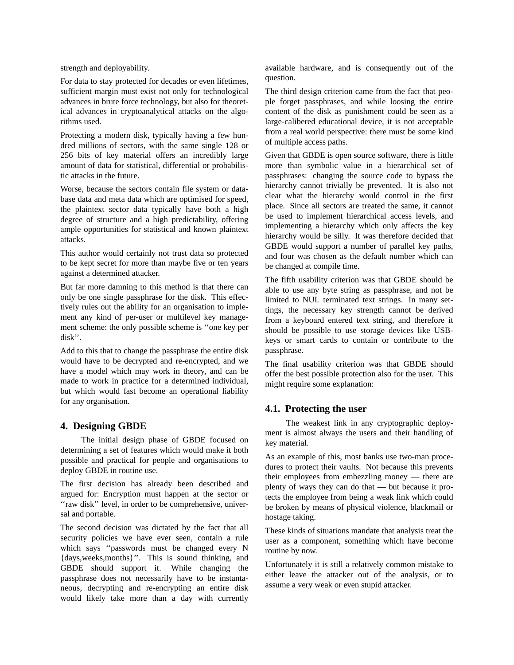strength and deployability.

For data to stay protected for decades or even lifetimes, sufficient margin must exist not only for technological advances in brute force technology, but also for theoretical advances in cryptoanalytical attacks on the algorithms used.

Protecting a modern disk, typically having a few hundred millions of sectors, with the same single 128 or 256 bits of key material offers an incredibly large amount of data for statistical, differential or probabilistic attacks in the future.

Worse, because the sectors contain file system or database data and meta data which are optimised for speed, the plaintext sector data typically have both a high degree of structure and a high predictability, offering ample opportunities for statistical and known plaintext attacks.

This author would certainly not trust data so protected to be kept secret for more than maybe five or ten years against a determined attacker.

But far more damning to this method is that there can only be one single passphrase for the disk. This effectively rules out the ability for an organisation to implement any kind of per-user or multilevel key management scheme: the only possible scheme is ''one key per disk''.

Add to this that to change the passphrase the entire disk would have to be decrypted and re-encrypted, and we have a model which may work in theory, and can be made to work in practice for a determined individual, but which would fast become an operational liability for any organisation.

## **4. Designing GBDE**

The initial design phase of GBDE focused on determining a set of features which would make it both possible and practical for people and organisations to deploy GBDE in routine use.

The first decision has already been described and argued for: Encryption must happen at the sector or "raw disk" level, in order to be comprehensive, universal and portable.

The second decision was dictated by the fact that all security policies we have ever seen, contain a rule which says ''passwords must be changed every N {days,weeks,months}''. This is sound thinking, and GBDE should support it. While changing the passphrase does not necessarily have to be instantaneous, decrypting and re-encrypting an entire disk would likely take more than a day with currently available hardware, and is consequently out of the question.

The third design criterion came from the fact that people forget passphrases, and while loosing the entire content of the disk as punishment could be seen as a large-calibered educational device, it is not acceptable from a real world perspective: there must be some kind of multiple access paths.

Given that GBDE is open source software, there is little more than symbolic value in a hierarchical set of passphrases: changing the source code to bypass the hierarchy cannot trivially be prevented. It is also not clear what the hierarchy would control in the first place. Since all sectors are treated the same, it cannot be used to implement hierarchical access levels, and implementing a hierarchy which only affects the key hierarchy would be silly. It was therefore decided that GBDE would support a number of parallel key paths, and four was chosen as the default number which can be changed at compile time.

The fifth usability criterion was that GBDE should be able to use any byte string as passphrase, and not be limited to NUL terminated text strings. In many settings, the necessary key strength cannot be derived from a keyboard entered text string, and therefore it should be possible to use storage devices like USBkeys or smart cards to contain or contribute to the passphrase.

The final usability criterion was that GBDE should offer the best possible protection also for the user. This might require some explanation:

## **4.1. Protecting the user**

The weakest link in any cryptographic deployment is almost always the users and their handling of key material.

As an example of this, most banks use two-man procedures to protect their vaults. Not because this prevents their employees from embezzling money—there are plenty of ways they can do that — but because it protects the employee from being a weak link which could be broken by means of physical violence, blackmail or hostage taking.

These kinds of situations mandate that analysis treat the user as a component, something which have become routine by now.

Unfortunately it is still a relatively common mistake to either leave the attacker out of the analysis, or to assume a very weak or even stupid attacker.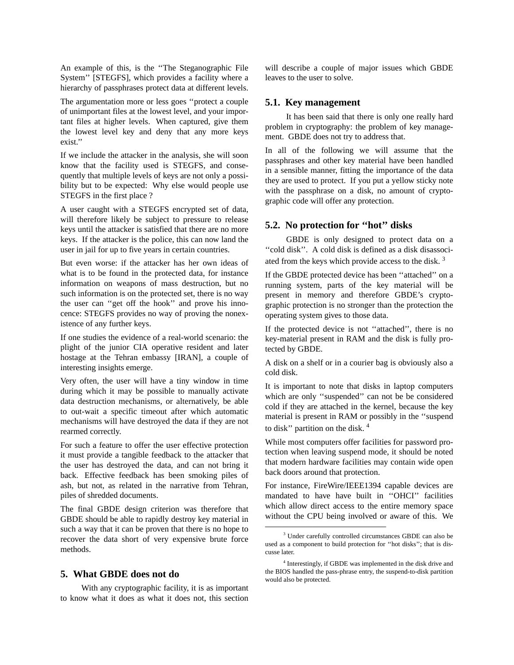An example of this, is the ''The Steganographic File System'' [STEGFS], which provides a facility where a hierarchy of passphrases protect data at different levels.

The argumentation more or less goes ''protect a couple of unimportant files at the lowest level, and your important files at higher levels. When captured, give them the lowest level key and deny that any more keys exist.''

If we include the attacker in the analysis, she will soon know that the facility used is STEGFS, and consequently that multiple levels of keys are not only a possibility but to be expected: Why else would people use STEGFS in the first place ?

A user caught with a STEGFS encrypted set of data, will therefore likely be subject to pressure to release keys until the attacker is satisfied that there are no more keys. If the attacker is the police, this can now land the user in jail for up to five years in certain countries.

But even worse: if the attacker has her own ideas of what is to be found in the protected data, for instance information on weapons of mass destruction, but no such information is on the protected set, there is no way the user can ''get off the hook'' and prove his innocence: STEGFS provides no way of proving the nonexistence of any further keys.

If one studies the evidence of a real-world scenario: the plight of the junior CIA operative resident and later hostage at the Tehran embassy [IRAN], a couple of interesting insights emerge.

Very often, the user will have a tiny window in time during which it may be possible to manually activate data destruction mechanisms, or alternatively, be able to out-wait a specific timeout after which automatic mechanisms will have destroyed the data if they are not rearmed correctly.

For such a feature to offer the user effective protection it must provide a tangible feedback to the attacker that the user has destroyed the data, and can not bring it back. Effective feedback has been smoking piles of ash, but not, as related in the narrative from Tehran, piles of shredded documents.

The final GBDE design criterion was therefore that GBDE should be able to rapidly destroy key material in such a way that it can be proven that there is no hope to recover the data short of very expensive brute force methods.

## **5. What GBDE does not do**

With any cryptographic facility, it is as important to know what it does as what it does not, this section will describe a couple of major issues which GBDE leaves to the user to solve.

#### **5.1. Key management**

It has been said that there is only one really hard problem in cryptography: the problem of key management. GBDE does not try to address that.

In all of the following we will assume that the passphrases and other key material have been handled in a sensible manner, fitting the importance of the data they are used to protect. If you put a yellow sticky note with the passphrase on a disk, no amount of cryptographic code will offer any protection.

# **5.2. No protection for ''hot'' disks**

GBDE is only designed to protect data on a ''cold disk''. A cold disk is defined as a disk disassociated from the keys which provide access to the disk.<sup>3</sup>

If the GBDE protected device has been ''attached'' on a running system, parts of the key material will be present in memory and therefore GBDE's cryptographic protection is no stronger than the protection the operating system gives to those data.

If the protected device is not ''attached'', there is no key-material present in RAM and the disk is fully protected by GBDE.

A disk on a shelf or in a courier bag is obviously also a cold disk.

It is important to note that disks in laptop computers which are only ''suspended'' can not be be considered cold if they are attached in the kernel, because the key material is present in RAM or possibly in the ''suspend to disk'' partition on the disk. <sup>4</sup>

While most computers offer facilities for password protection when leaving suspend mode, it should be noted that modern hardware facilities may contain wide open back doors around that protection.

For instance, FireWire/IEEE1394 capable devices are mandated to have have built in "OHCI" facilities which allow direct access to the entire memory space without the CPU being involved or aware of this. We

<sup>3</sup> Under carefully controlled circumstances GBDE can also be used as a component to build protection for ''hot disks''; that is discusse later.

<sup>&</sup>lt;sup>4</sup> Interestingly, if GBDE was implemented in the disk drive and the BIOS handled the pass-phrase entry, the suspend-to-disk partition would also be protected.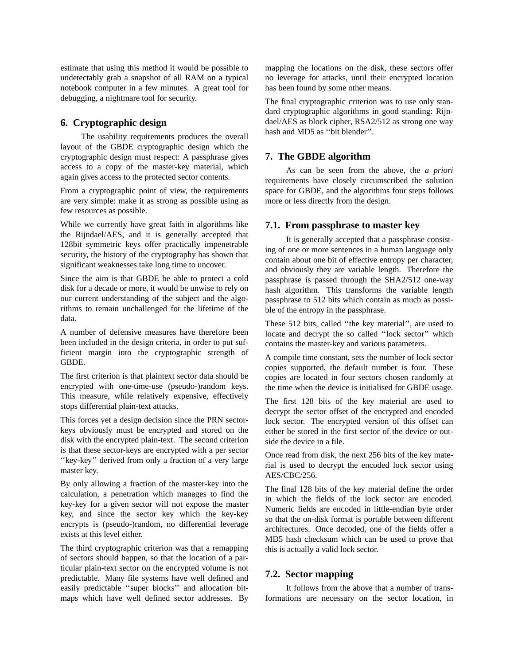estimate that using this method it would be possible to undetectably grab a snapshot of all RAM on a typical notebook computer in a few minutes. A great tool for debugging, a nightmare tool for security.

# **6. Cryptographic design**

The usability requirements produces the overall layout of the GBDE cryptographic design which the cryptographic design must respect: A passphrase gives access to a copy of the master-key material, which again gives access to the protected sector contents.

From a cryptographic point of view, the requirements are very simple: make it as strong as possible using as few resources as possible.

While we currently have great faith in algorithms like the Rijndael/AES, and it is generally accepted that 128bit symmetric keys offer practically impenetrable security, the history of the cryptography has shown that significant weaknesses take long time to uncover.

Since the aim is that GBDE be able to protect a cold disk for a decade or more, it would be unwise to rely on our current understanding of the subject and the algorithms to remain unchallenged for the lifetime of the data.

A number of defensive measures have therefore been been included in the design criteria, in order to put sufficient margin into the cryptographic strength of GBDE.

The first criterion is that plaintext sector data should be encrypted with one-time-use (pseudo-)random keys. This measure, while relatively expensive, effectively stops differential plain-text attacks.

This forces yet a design decision since the PRN sectorkeys obviously must be encrypted and stored on the disk with the encrypted plain-text. The second criterion is that these sector-keys are encrypted with a per sector "key-key" derived from only a fraction of a very large master key.

By only allowing a fraction of the master-key into the calculation, a penetration which manages to find the key-key for a given sector will not expose the master key, and since the sector key which the key-key encrypts is (pseudo-)random, no differential leverage exists at this level either.

The third cryptographic criterion was that a remapping of sectors should happen, so that the location of a particular plain-text sector on the encrypted volume is not predictable. Many file systems have well defined and easily predictable ''super blocks'' and allocation bitmaps which have well defined sector addresses. By mapping the locations on the disk, these sectors offer no leverage for attacks, until their encrypted location has been found by some other means.

The final cryptographic criterion was to use only standard cryptographic algorithms in good standing: Rijndael/AES as block cipher, RSA2/512 as strong one way hash and MD5 as ''bit blender''.

# **7. The GBDE algorithm**

As can be seen from the above, the *a priori* requirements have closely circumscribed the solution space for GBDE, and the algorithms four steps follows more or less directly from the design.

#### **7.1. From passphrase to master key**

It is generally accepted that a passphrase consisting of one or more sentences in a human language only contain about one bit of effective entropy per character, and obviously they are variable length. Therefore the passphrase is passed through the SHA2/512 one-way hash algorithm. This transforms the variable length passphrase to 512 bits which contain as much as possible of the entropy in the passphrase.

These 512 bits, called ''the key material'', are used to locate and decrypt the so called ''lock sector'' which contains the master-key and various parameters.

A compile time constant, sets the number of lock sector copies supported, the default number is four. These copies are located in four sectors chosen randomly at the time when the device is initialised for GBDE usage.

The first 128 bits of the key material are used to decrypt the sector offset of the encrypted and encoded lock sector. The encrypted version of this offset can either be stored in the first sector of the device or outside the device in a file.

Once read from disk, the next 256 bits of the key material is used to decrypt the encoded lock sector using AES/CBC/256.

The final 128 bits of the key material define the order in which the fields of the lock sector are encoded. Numeric fields are encoded in little-endian byte order so that the on-disk format is portable between different architectures. Once decoded, one of the fields offer a MD5 hash checksum which can be used to prove that this is actually a valid lock sector.

#### **7.2. Sector mapping**

It follows from the above that a number of transformations are necessary on the sector location, in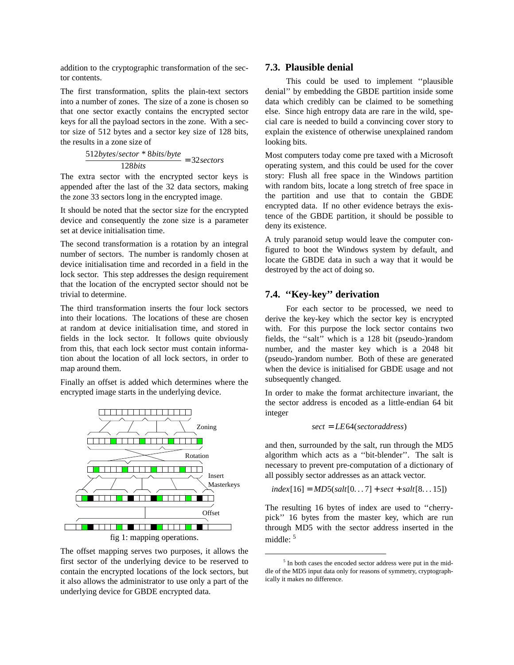addition to the cryptographic transformation of the sector contents.

The first transformation, splits the plain-text sectors into a number of zones. The size of a zone is chosen so that one sector exactly contains the encrypted sector keys for all the payload sectors in the zone. With a sector size of 512 bytes and a sector key size of 128 bits, the results in a zone size of

$$
\frac{512bytes/sector * 8bits/byte}{128bits} = 32 sectors
$$

The extra sector with the encrypted sector keys is appended after the last of the 32 data sectors, making the zone 33 sectors long in the encrypted image.

It should be noted that the sector size for the encrypted device and consequently the zone size is a parameter set at device initialisation time.

The second transformation is a rotation by an integral number of sectors. The number is randomly chosen at device initialisation time and recorded in a field in the lock sector. This step addresses the design requirement that the location of the encrypted sector should not be trivial to determine.

The third transformation inserts the four lock sectors into their locations. The locations of these are chosen at random at device initialisation time, and stored in fields in the lock sector. It follows quite obviously from this, that each lock sector must contain information about the location of all lock sectors, in order to map around them.

Finally an offset is added which determines where the encrypted image starts in the underlying device.



The offset mapping serves two purposes, it allows the first sector of the underlying device to be reserved to contain the encrypted locations of the lock sectors, but it also allows the administrator to use only a part of the underlying device for GBDE encrypted data.

# **7.3. Plausible denial**

This could be used to implement ''plausible denial'' by embedding the GBDE partition inside some data which credibly can be claimed to be something else. Since high entropy data are rare in the wild, special care is needed to build a convincing cover story to explain the existence of otherwise unexplained random looking bits.

Most computers today come pre taxed with a Microsoft operating system, and this could be used for the cover story: Flush all free space in the Windows partition with random bits, locate a long stretch of free space in the partition and use that to contain the GBDE encrypted data. If no other evidence betrays the existence of the GBDE partition, it should be possible to deny its existence.

A truly paranoid setup would leave the computer configured to boot the Windows system by default, and locate the GBDE data in such a way that it would be destroyed by the act of doing so.

## **7.4. ''Key-key'' derivation**

For each sector to be processed, we need to derive the key-key which the sector key is encrypted with. For this purpose the lock sector contains two fields, the ''salt'' which is a 128 bit (pseudo-)random number, and the master key which is a 2048 bit (pseudo-)random number. Both of these are generated when the device is initialised for GBDE usage and not subsequently changed.

In order to make the format architecture invariant, the the sector address is encoded as a little-endian 64 bit integer

$$
sect = LE64 (sector address)
$$

and then, surrounded by the salt, run through the MD5 algorithm which acts as a ''bit-blender''. The salt is necessary to prevent pre-computation of a dictionary of all possibly sector addresses as an attack vector.

$$
index[16] = MD5(salt[0...7] + sect + salt[8...15])
$$

The resulting 16 bytes of index are used to ''cherrypick'' 16 bytes from the master key, which are run through MD5 with the sector address inserted in the middle: 5

<sup>&</sup>lt;sup>5</sup> In both cases the encoded sector address were put in the middle of the MD5 input data only for reasons of symmetry, cryptographically it makes no difference.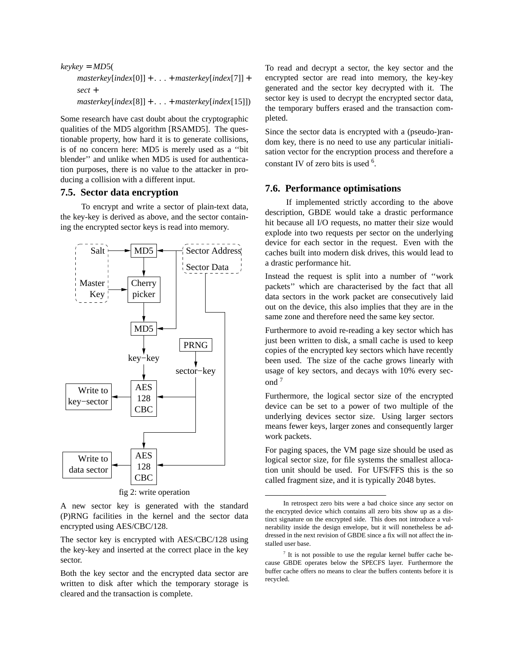```
keykey = MD5(
masterkey[index[0]] + ... + masterkey[index[7]] +
sect +
masterkey[index[8]] + ... + masterkey[index[15]])
```
Some research have cast doubt about the cryptographic qualities of the MD5 algorithm [RSAMD5]. The questionable property, how hard it is to generate collisions, is of no concern here: MD5 is merely used as a ''bit blender'' and unlike when MD5 is used for authentication purposes, there is no value to the attacker in producing a collision with a different input.

# **7.5. Sector data encryption**

To encrypt and write a sector of plain-text data, the key-key is derived as above, and the sector containing the encrypted sector keys is read into memory.



fig 2: write operation

A new sector key is generated with the standard (P)RNG facilities in the kernel and the sector data encrypted using AES/CBC/128.

The sector key is encrypted with AES/CBC/128 using the key-key and inserted at the correct place in the key sector.

Both the key sector and the encrypted data sector are written to disk after which the temporary storage is cleared and the transaction is complete.

To read and decrypt a sector, the key sector and the encrypted sector are read into memory, the key-key generated and the sector key decrypted with it. The sector key is used to decrypt the encrypted sector data, the temporary buffers erased and the transaction completed.

Since the sector data is encrypted with a (pseudo-)random key, there is no need to use any particular initialisation vector for the encryption process and therefore a constant IV of zero bits is used  $6$ .

# **7.6. Performance optimisations**

If implemented strictly according to the above description, GBDE would take a drastic performance hit because all I/O requests, no matter their size would explode into two requests per sector on the underlying device for each sector in the request. Even with the caches built into modern disk drives, this would lead to a drastic performance hit.

Instead the request is split into a number of ''work packets'' which are characterised by the fact that all data sectors in the work packet are consecutively laid out on the device, this also implies that they are in the same zone and therefore need the same key sector.

Furthermore to avoid re-reading a key sector which has just been written to disk, a small cache is used to keep copies of the encrypted key sectors which have recently been used. The size of the cache grows linearly with usage of key sectors, and decays with 10% every second <sup>7</sup>

Furthermore, the logical sector size of the encrypted device can be set to a power of two multiple of the underlying devices sector size. Using larger sectors means fewer keys, larger zones and consequently larger work packets.

For paging spaces, the VM page size should be used as logical sector size, for file systems the smallest allocation unit should be used. For UFS/FFS this is the so called fragment size, and it is typically 2048 bytes.

In retrospect zero bits were a bad choice since any sector on the encrypted device which contains all zero bits show up as a distinct signature on the encrypted side. This does not introduce a vulnerability inside the design envelope, but it will nonetheless be addressed in the next revision of GBDE since a fix will not affect the installed user base.

<sup>&</sup>lt;sup>7</sup> It is not possible to use the regular kernel buffer cache because GBDE operates below the SPECFS layer. Furthermore the buffer cache offers no means to clear the buffers contents before it is recycled.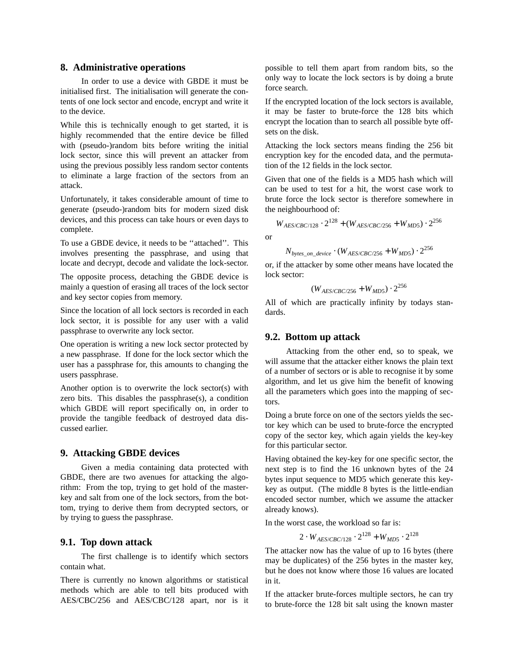#### **8. Administrative operations**

In order to use a device with GBDE it must be initialised first. The initialisation will generate the contents of one lock sector and encode, encrypt and write it to the device.

While this is technically enough to get started, it is highly recommended that the entire device be filled with (pseudo-)random bits before writing the initial lock sector, since this will prevent an attacker from using the previous possibly less random sector contents to eliminate a large fraction of the sectors from an attack.

Unfortunately, it takes considerable amount of time to generate (pseudo-)random bits for modern sized disk devices, and this process can take hours or even days to complete.

To use a GBDE device, it needs to be ''attached''. This involves presenting the passphrase, and using that locate and decrypt, decode and validate the lock-sector.

The opposite process, detaching the GBDE device is mainly a question of erasing all traces of the lock sector and key sector copies from memory.

Since the location of all lock sectors is recorded in each lock sector, it is possible for any user with a valid passphrase to overwrite any lock sector.

One operation is writing a new lock sector protected by a new passphrase. If done for the lock sector which the user has a passphrase for, this amounts to changing the users passphrase.

Another option is to overwrite the lock sector(s) with zero bits. This disables the passphrase $(s)$ , a condition which GBDE will report specifically on, in order to provide the tangible feedback of destroyed data discussed earlier.

# **9. Attacking GBDE devices**

Given a media containing data protected with GBDE, there are two avenues for attacking the algorithm: From the top, trying to get hold of the masterkey and salt from one of the lock sectors, from the bottom, trying to derive them from decrypted sectors, or by trying to guess the passphrase.

#### **9.1. Top down attack**

The first challenge is to identify which sectors contain what.

There is currently no known algorithms or statistical methods which are able to tell bits produced with AES/CBC/256 and AES/CBC/128 apart, nor is it possible to tell them apart from random bits, so the only way to locate the lock sectors is by doing a brute force search.

If the encrypted location of the lock sectors is available, it may be faster to brute-force the 128 bits which encrypt the location than to search all possible byte offsets on the disk.

Attacking the lock sectors means finding the 256 bit encryption key for the encoded data, and the permutation of the 12 fields in the lock sector.

Given that one of the fields is a MD5 hash which will can be used to test for a hit, the worst case work to brute force the lock sector is therefore somewhere in the neighbourhood of:

$$
W_{AES/CBC/128} \cdot 2^{128} + (W_{AES/CBC/256} + W_{MD5}) \cdot 2^{256}
$$

or

$$
N_{bytes\_on\_device} \cdot (W_{AES/CBC/256} + W_{MD5}) \cdot 2^{256}
$$

or, if the attacker by some other means have located the lock sector:

$$
(W_{AES/CBC/256} + W_{MD5}) \cdot 2^{256}
$$

All of which are practically infinity by todays standards.

#### **9.2. Bottom up attack**

Attacking from the other end, so to speak, we will assume that the attacker either knows the plain text of a number of sectors or is able to recognise it by some algorithm, and let us give him the benefit of knowing all the parameters which goes into the mapping of sectors.

Doing a brute force on one of the sectors yields the sector key which can be used to brute-force the encrypted copy of the sector key, which again yields the key-key for this particular sector.

Having obtained the key-key for one specific sector, the next step is to find the 16 unknown bytes of the 24 bytes input sequence to MD5 which generate this keykey as output. (The middle 8 bytes is the little-endian encoded sector number, which we assume the attacker already knows).

In the worst case, the workload so far is:

$$
2 \cdot W_{AES/CBC/128} \cdot 2^{128} + W_{MDS} \cdot 2^{128}
$$

The attacker now has the value of up to 16 bytes (there may be duplicates) of the 256 bytes in the master key, but he does not know where those 16 values are located in it.

If the attacker brute-forces multiple sectors, he can try to brute-force the 128 bit salt using the known master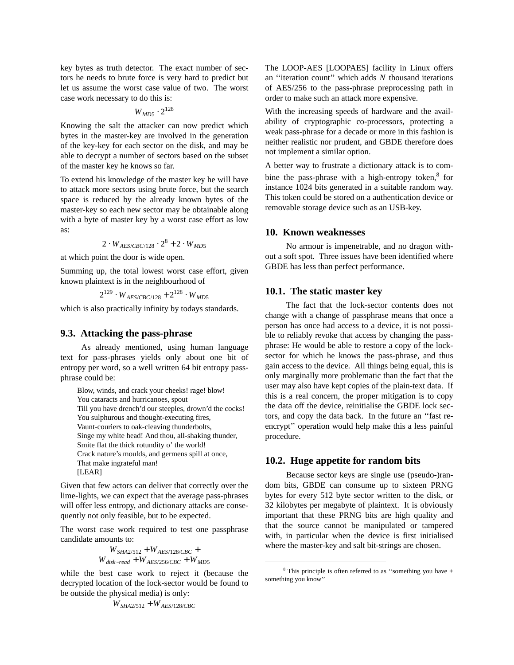key bytes as truth detector. The exact number of sectors he needs to brute force is very hard to predict but let us assume the worst case value of two. The worst case work necessary to do this is:

$$
W_{MD5} \cdot 2^{128}
$$

Knowing the salt the attacker can now predict which bytes in the master-key are involved in the generation of the key-key for each sector on the disk, and may be able to decrypt a number of sectors based on the subset of the master key he knows so far.

To extend his knowledge of the master key he will have to attack more sectors using brute force, but the search space is reduced by the already known bytes of the master-key so each new sector may be obtainable along with a byte of master key by a worst case effort as low as:

$$
2\cdot W_{AES/CBC/128}\cdot 2^8 + 2\cdot W_{MD5}
$$

at which point the door is wide open.

Summing up, the total lowest worst case effort, given known plaintext is in the neighbourhood of

 $2^{129} \cdot W_{AES/CBC/128} + 2^{128} \cdot W_{MD5}$ 

which is also practically infinity by todays standards.

#### **9.3. Attacking the pass-phrase**

As already mentioned, using human language text for pass-phrases yields only about one bit of entropy per word, so a well written 64 bit entropy passphrase could be:

Blow, winds, and crack your cheeks! rage! blow! You cataracts and hurricanoes, spout Till you have drench'd our steeples, drown'd the cocks! You sulphurous and thought-executing fires, Vaunt-couriers to oak-cleaving thunderbolts, Singe my white head! And thou, all-shaking thunder, Smite flat the thick rotundity o' the world! Crack nature's moulds, and germens spill at once, That make ingrateful man! [LEAR]

Given that few actors can deliver that correctly over the lime-lights, we can expect that the average pass-phrases will offer less entropy, and dictionary attacks are consequently not only feasible, but to be expected.

The worst case work required to test one passphrase candidate amounts to:

$$
W_{SHA2/512} + W_{AES/128/CBC} + \\ W_{disk-read} + W_{AES/256/CBC} + W_{MD5}
$$

while the best case work to reject it (because the decrypted location of the lock-sector would be found to be outside the physical media) is only:

 $W_{SHA2/512} + W_{AES/128/CBC}$ 

The LOOP-AES [LOOPAES] facility in Linux offers an ''iteration count'' which adds *N* thousand iterations of AES/256 to the pass-phrase preprocessing path in order to make such an attack more expensive.

With the increasing speeds of hardware and the availability of cryptographic co-processors, protecting a weak pass-phrase for a decade or more in this fashion is neither realistic nor prudent, and GBDE therefore does not implement a similar option.

A better way to frustrate a dictionary attack is to combine the pass-phrase with a high-entropy token, $8$  for instance 1024 bits generated in a suitable random way. This token could be stored on a authentication device or removable storage device such as an USB-key.

#### **10. Known weaknesses**

No armour is impenetrable, and no dragon without a soft spot. Three issues have been identified where GBDE has less than perfect performance.

## **10.1. The static master key**

The fact that the lock-sector contents does not change with a change of passphrase means that once a person has once had access to a device, it is not possible to reliably revoke that access by changing the passphrase: He would be able to restore a copy of the locksector for which he knows the pass-phrase, and thus gain access to the device. All things being equal, this is only marginally more problematic than the fact that the user may also have kept copies of the plain-text data. If this is a real concern, the proper mitigation is to copy the data off the device, reinitialise the GBDE lock sectors, and copy the data back. In the future an ''fast reencrypt'' operation would help make this a less painful procedure.

#### **10.2. Huge appetite for random bits**

Because sector keys are single use (pseudo-)random bits, GBDE can consume up to sixteen PRNG bytes for every 512 byte sector written to the disk, or 32 kilobytes per megabyte of plaintext. It is obviously important that these PRNG bits are high quality and that the source cannot be manipulated or tampered with, in particular when the device is first initialised where the master-key and salt bit-strings are chosen.

 $8$  This principle is often referred to as "something you have  $+$ something you know''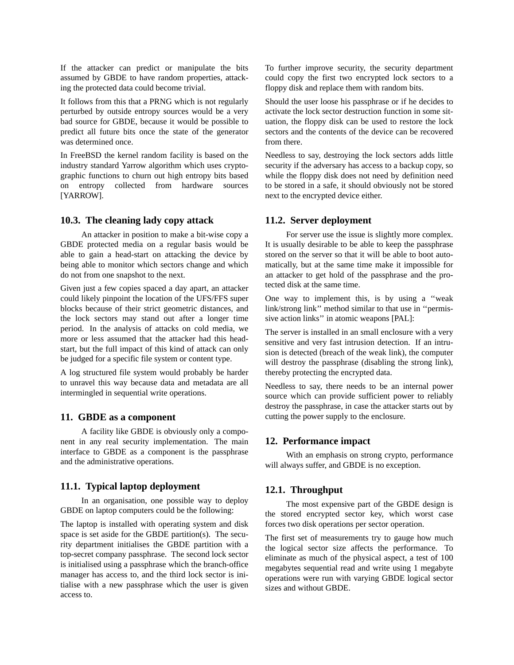If the attacker can predict or manipulate the bits assumed by GBDE to have random properties, attacking the protected data could become trivial.

It follows from this that a PRNG which is not regularly perturbed by outside entropy sources would be a very bad source for GBDE, because it would be possible to predict all future bits once the state of the generator was determined once.

In FreeBSD the kernel random facility is based on the industry standard Yarrow algorithm which uses cryptographic functions to churn out high entropy bits based on entropy collected from hardware sources [YARROW].

#### **10.3. The cleaning lady copy attack**

An attacker in position to make a bit-wise copy a GBDE protected media on a regular basis would be able to gain a head-start on attacking the device by being able to monitor which sectors change and which do not from one snapshot to the next.

Given just a few copies spaced a day apart, an attacker could likely pinpoint the location of the UFS/FFS super blocks because of their strict geometric distances, and the lock sectors may stand out after a longer time period. In the analysis of attacks on cold media, we more or less assumed that the attacker had this headstart, but the full impact of this kind of attack can only be judged for a specific file system or content type.

A log structured file system would probably be harder to unravel this way because data and metadata are all intermingled in sequential write operations.

#### **11. GBDE as a component**

A facility like GBDE is obviously only a component in any real security implementation. The main interface to GBDE as a component is the passphrase and the administrative operations.

## **11.1. Typical laptop deployment**

In an organisation, one possible way to deploy GBDE on laptop computers could be the following:

The laptop is installed with operating system and disk space is set aside for the GBDE partition(s). The security department initialises the GBDE partition with a top-secret company passphrase. The second lock sector is initialised using a passphrase which the branch-office manager has access to, and the third lock sector is initialise with a new passphrase which the user is given access to.

To further improve security, the security department could copy the first two encrypted lock sectors to a floppy disk and replace them with random bits.

Should the user loose his passphrase or if he decides to activate the lock sector destruction function in some situation, the floppy disk can be used to restore the lock sectors and the contents of the device can be recovered from there.

Needless to say, destroying the lock sectors adds little security if the adversary has access to a backup copy, so while the floppy disk does not need by definition need to be stored in a safe, it should obviously not be stored next to the encrypted device either.

#### **11.2. Server deployment**

For server use the issue is slightly more complex. It is usually desirable to be able to keep the passphrase stored on the server so that it will be able to boot automatically, but at the same time make it impossible for an attacker to get hold of the passphrase and the protected disk at the same time.

One way to implement this, is by using a ''weak link/strong link'' method similar to that use in ''permissive action links'' in atomic weapons [PAL]:

The server is installed in an small enclosure with a very sensitive and very fast intrusion detection. If an intrusion is detected (breach of the weak link), the computer will destroy the passphrase (disabling the strong link), thereby protecting the encrypted data.

Needless to say, there needs to be an internal power source which can provide sufficient power to reliably destroy the passphrase, in case the attacker starts out by cutting the power supply to the enclosure.

## **12. Performance impact**

With an emphasis on strong crypto, performance will always suffer, and GBDE is no exception.

## **12.1. Throughput**

The most expensive part of the GBDE design is the stored encrypted sector key, which worst case forces two disk operations per sector operation.

The first set of measurements try to gauge how much the logical sector size affects the performance. To eliminate as much of the physical aspect, a test of 100 megabytes sequential read and write using 1 megabyte operations were run with varying GBDE logical sector sizes and without GBDE.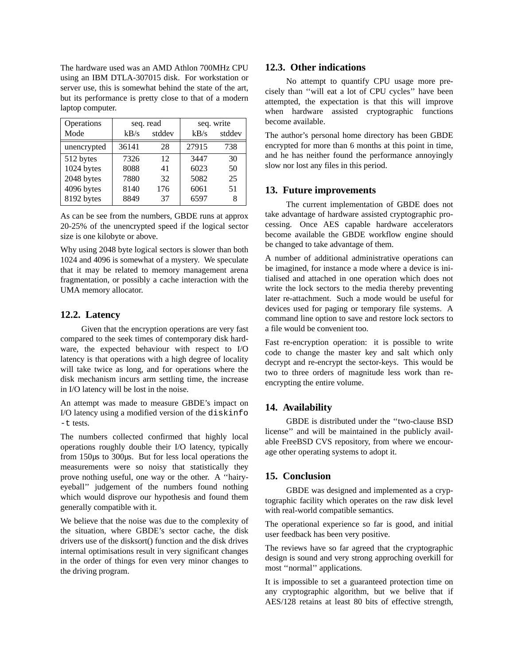The hardware used was an AMD Athlon 700MHz CPU using an IBM DTLA-307015 disk. For workstation or server use, this is somewhat behind the state of the art, but its performance is pretty close to that of a modern laptop computer.

| Operations  | seq. read |        | seq. write |        |
|-------------|-----------|--------|------------|--------|
| Mode        | $kB$ /s   | stddev | $kB$ /s    | stddev |
| unencrypted | 36141     | 28     | 27915      | 738    |
| 512 bytes   | 7326      | 12     | 3447       | 30     |
| 1024 bytes  | 8088      | 41     | 6023       | 50     |
| 2048 bytes  | 7880      | 32     | 5082       | 25     |
| 4096 bytes  | 8140      | 176    | 6061       | 51     |
| 8192 bytes  | 8849      | 37     | 6597       | 8      |

As can be see from the numbers, GBDE runs at approx 20-25% of the unencrypted speed if the logical sector size is one kilobyte or above.

Why using 2048 byte logical sectors is slower than both 1024 and 4096 is somewhat of a mystery. We speculate that it may be related to memory management arena fragmentation, or possibly a cache interaction with the UMA memory allocator.

#### **12.2. Latency**

Given that the encryption operations are very fast compared to the seek times of contemporary disk hardware, the expected behaviour with respect to I/O latency is that operations with a high degree of locality will take twice as long, and for operations where the disk mechanism incurs arm settling time, the increase in I/O latency will be lost in the noise.

An attempt was made to measure GBDE's impact on I/O latency using a modified version of the diskinfo -t tests.

The numbers collected confirmed that highly local operations roughly double their I/O latency, typically from 150µs to 300µs. But for less local operations the measurements were so noisy that statistically they prove nothing useful, one way or the other. A ''hairyeyeball'' judgement of the numbers found nothing which would disprove our hypothesis and found them generally compatible with it.

We believe that the noise was due to the complexity of the situation, where GBDE's sector cache, the disk drivers use of the disksort() function and the disk drives internal optimisations result in very significant changes in the order of things for even very minor changes to the driving program.

## **12.3. Other indications**

No attempt to quantify CPU usage more precisely than "will eat a lot of CPU cycles" have been attempted, the expectation is that this will improve when hardware assisted cryptographic functions become available.

The author's personal home directory has been GBDE encrypted for more than 6 months at this point in time, and he has neither found the performance annoyingly slow nor lost any files in this period.

#### **13. Future improvements**

The current implementation of GBDE does not take advantage of hardware assisted cryptographic processing. Once AES capable hardware accelerators become available the GBDE workflow engine should be changed to take advantage of them.

A number of additional administrative operations can be imagined, for instance a mode where a device is initialised and attached in one operation which does not write the lock sectors to the media thereby preventing later re-attachment. Such a mode would be useful for devices used for paging or temporary file systems. A command line option to save and restore lock sectors to a file would be convenient too.

Fast re-encryption operation: it is possible to write code to change the master key and salt which only decrypt and re-encrypt the sector-keys. This would be two to three orders of magnitude less work than reencrypting the entire volume.

# **14. Availability**

GBDE is distributed under the ''two-clause BSD license'' and will be maintained in the publicly available FreeBSD CVS repository, from where we encourage other operating systems to adopt it.

## **15. Conclusion**

GBDE was designed and implemented as a cryptographic facility which operates on the raw disk level with real-world compatible semantics.

The operational experience so far is good, and initial user feedback has been very positive.

The reviews have so far agreed that the cryptographic design is sound and very strong approching overkill for most ''normal'' applications.

It is impossible to set a guaranteed protection time on any cryptographic algorithm, but we belive that if AES/128 retains at least 80 bits of effective strength,